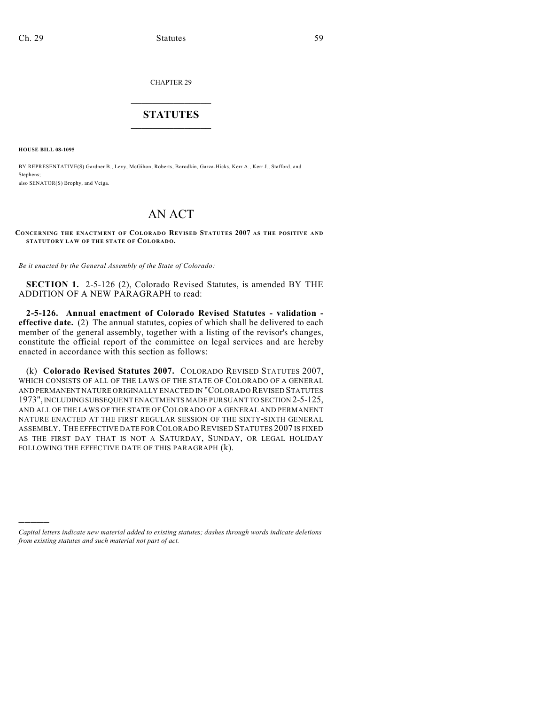CHAPTER 29

## $\overline{\phantom{a}}$  . The set of the set of the set of the set of the set of the set of the set of the set of the set of the set of the set of the set of the set of the set of the set of the set of the set of the set of the set o **STATUTES**  $\_$   $\_$

**HOUSE BILL 08-1095**

)))))

BY REPRESENTATIVE(S) Gardner B., Levy, McGihon, Roberts, Borodkin, Garza-Hicks, Kerr A., Kerr J., Stafford, and Stephens; also SENATOR(S) Brophy, and Veiga.

## AN ACT

**CONCERNING THE ENACTMENT OF COLORADO REVISED STATUTES 2007 AS THE POSITIVE AND STATUTORY LAW OF THE STATE OF COLORADO.**

*Be it enacted by the General Assembly of the State of Colorado:*

**SECTION 1.** 2-5-126 (2), Colorado Revised Statutes, is amended BY THE ADDITION OF A NEW PARAGRAPH to read:

**2-5-126. Annual enactment of Colorado Revised Statutes - validation effective date.** (2) The annual statutes, copies of which shall be delivered to each member of the general assembly, together with a listing of the revisor's changes, constitute the official report of the committee on legal services and are hereby enacted in accordance with this section as follows:

(k) **Colorado Revised Statutes 2007.** COLORADO REVISED STATUTES 2007, WHICH CONSISTS OF ALL OF THE LAWS OF THE STATE OF COLORADO OF A GENERAL AND PERMANENT NATURE ORIGINALLY ENACTED IN "COLORADO REVISED STATUTES 1973", INCLUDING SUBSEQUENT ENACTMENTS MADE PURSUANT TO SECTION 2-5-125, AND ALL OF THE LAWS OF THE STATE OF COLORADO OF A GENERAL AND PERMANENT NATURE ENACTED AT THE FIRST REGULAR SESSION OF THE SIXTY-SIXTH GENERAL ASSEMBLY. THE EFFECTIVE DATE FOR COLORADO REVISED STATUTES 2007 IS FIXED AS THE FIRST DAY THAT IS NOT A SATURDAY, SUNDAY, OR LEGAL HOLIDAY FOLLOWING THE EFFECTIVE DATE OF THIS PARAGRAPH (k).

*Capital letters indicate new material added to existing statutes; dashes through words indicate deletions from existing statutes and such material not part of act.*